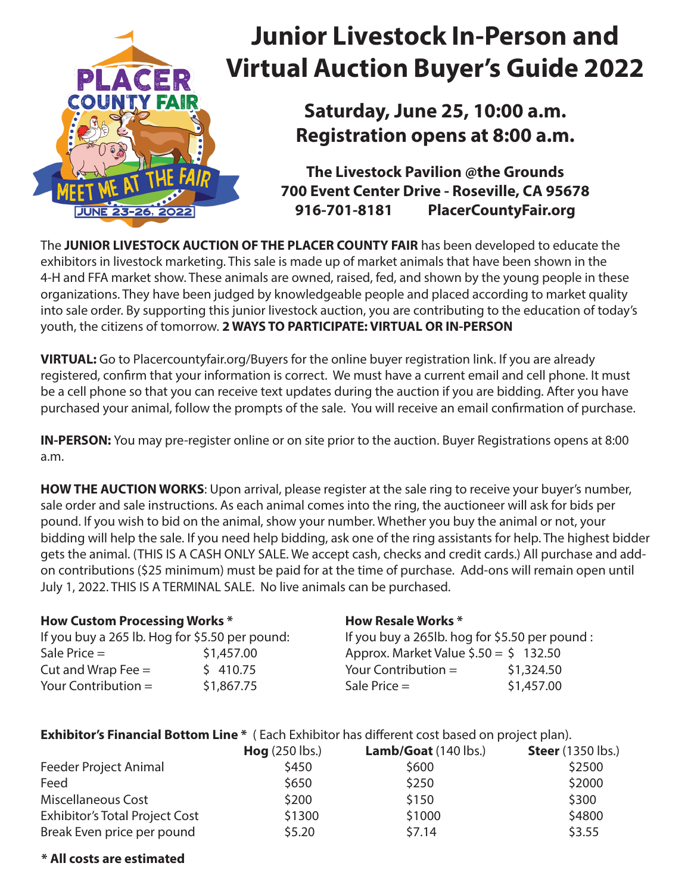

# **Junior Livestock In-Person and Virtual Auction Buyer's Guide 2022**

**Saturday, June 25, 10:00 a.m. Registration opens at 8:00 a.m.**

**The Livestock Pavilion @the Grounds 700 Event Center Drive - Roseville, CA 95678 916-701-8181 PlacerCountyFair.org**

The **JUNIOR LIVESTOCK AUCTION OF THE PLACER COUNTY FAIR** has been developed to educate the exhibitors in livestock marketing. This sale is made up of market animals that have been shown in the 4-H and FFA market show. These animals are owned, raised, fed, and shown by the young people in these organizations. They have been judged by knowledgeable people and placed according to market quality into sale order. By supporting this junior livestock auction, you are contributing to the education of today's youth, the citizens of tomorrow. **2 WAYS TO PARTICIPATE: VIRTUAL OR IN-PERSON** 

**VIRTUAL:** Go to Placercountyfair.org/Buyers for the online buyer registration link. If you are already registered, confirm that your information is correct. We must have a current email and cell phone. It must be a cell phone so that you can receive text updates during the auction if you are bidding. After you have purchased your animal, follow the prompts of the sale. You will receive an email confirmation of purchase.

**IN-PERSON:** You may pre-register online or on site prior to the auction. Buyer Registrations opens at 8:00 a.m.

**HOW THE AUCTION WORKS:** Upon arrival, please register at the sale ring to receive your buyer's number, sale order and sale instructions. As each animal comes into the ring, the auctioneer will ask for bids per pound. If you wish to bid on the animal, show your number. Whether you buy the animal or not, your bidding will help the sale. If you need help bidding, ask one of the ring assistants for help. The highest bidder gets the animal. (THIS IS A CASH ONLY SALE. We accept cash, checks and credit cards.) All purchase and addon contributions (\$25 minimum) must be paid for at the time of purchase. Add-ons will remain open until July 1, 2022. THIS IS A TERMINAL SALE. No live animals can be purchased.

**How Resale Works \***

### **How Custom Processing Works \***

If you buy a 265 lb. Hog for \$5.50 per pound:  $Sale Price =$   $$1,457.00$ Cut and Wrap Fee  $=$   $\frac{1}{5}$  410.75 Your Contribution  $=$  \$1,867.75 If you buy a 265lb. hog for \$5.50 per pound : Approx. Market Value  $$.50 = $ 132.50$ Your Contribution  $=$  \$1,324.50  $Sale Price =$  \$1,457.00

**Exhibitor's Financial Bottom Line** \* (Each Exhibitor has different cost based on project plan).

|                                       | $Hog$ (250 lbs.) | Lamb/Goat (140 lbs.) | <b>Steer</b> (1350 lbs.) |
|---------------------------------------|------------------|----------------------|--------------------------|
| <b>Feeder Project Animal</b>          | \$450            | \$600                | \$2500                   |
| Feed                                  | \$650            | \$250                | \$2000                   |
| Miscellaneous Cost                    | \$200            | \$150                | \$300                    |
| <b>Exhibitor's Total Project Cost</b> | \$1300           | \$1000               | \$4800                   |
| Break Even price per pound            | \$5.20           | \$7.14               | \$3.55                   |

## **\* All costs are estimated**